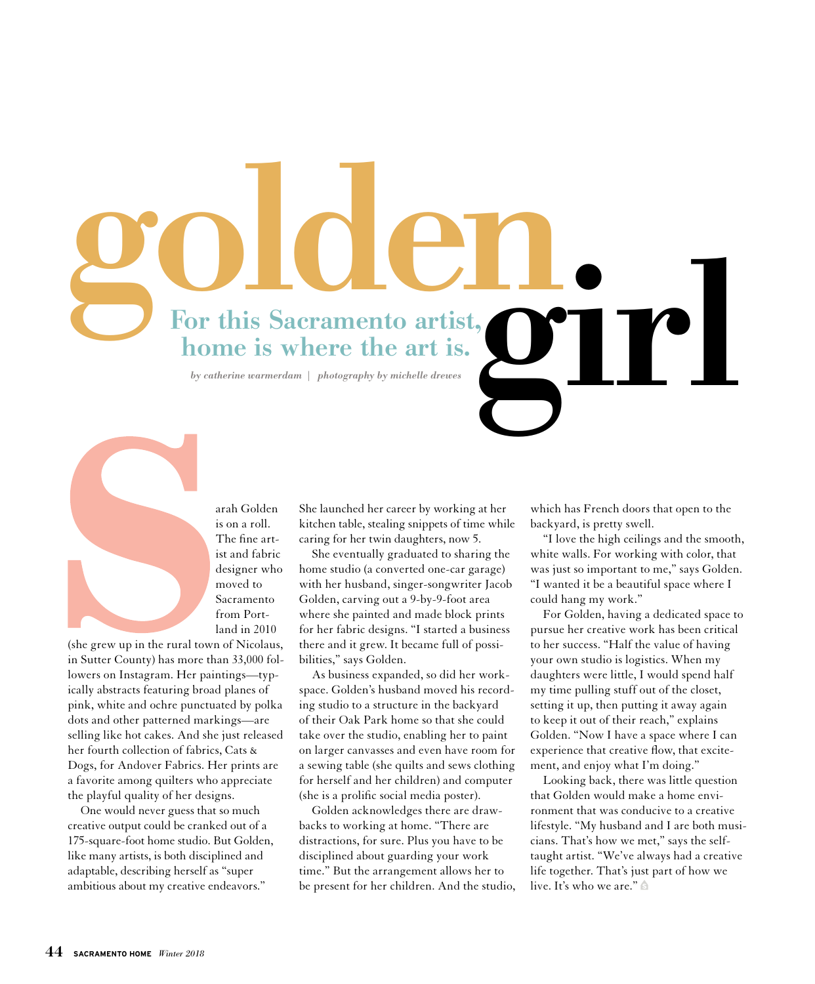Solome is Sacramento artist, For this Sacramento artist, home is where the art is. *by catherine warmerdam | photography by michelle drewes*

> arah Golden is on a roll. The fine artist and fabric designer who moved to Sacramento from Portland in 2010

(she grew up in the rural town of Nicolaus, in Sutter County) has more than 33,000 followers on Instagram. Her paintings—typically abstracts featuring broad planes of pink, white and ochre punctuated by polka dots and other patterned markings—are selling like hot cakes. And she just released her fourth collection of fabrics, Cats & Dogs, for Andover Fabrics. Her prints are a favorite among quilters who appreciate the playful quality of her designs.

One would never guess that so much creative output could be cranked out of a 175-square-foot home studio. But Golden, like many artists, is both disciplined and adaptable, describing herself as "super ambitious about my creative endeavors."

She launched her career by working at her kitchen table, stealing snippets of time while caring for her twin daughters, now 5.

She eventually graduated to sharing the home studio (a converted one-car garage) with her husband, singer-songwriter Jacob Golden, carving out a 9-by-9-foot area where she painted and made block prints for her fabric designs. "I started a business there and it grew. It became full of possibilities," says Golden.

As business expanded, so did her workspace. Golden's husband moved his recording studio to a structure in the backyard of their Oak Park home so that she could take over the studio, enabling her to paint on larger canvasses and even have room for a sewing table (she quilts and sews clothing for herself and her children) and computer (she is a prolific social media poster).

Golden acknowledges there are drawbacks to working at home. "There are distractions, for sure. Plus you have to be disciplined about guarding your work time." But the arrangement allows her to be present for her children. And the studio,

which has French doors that open to the backyard, is pretty swell.

"I love the high ceilings and the smooth, white walls. For working with color, that was just so important to me," says Golden. "I wanted it be a beautiful space where I could hang my work."

For Golden, having a dedicated space to pursue her creative work has been critical to her success. "Half the value of having your own studio is logistics. When my daughters were little, I would spend half my time pulling stuff out of the closet, setting it up, then putting it away again to keep it out of their reach," explains Golden. "Now I have a space where I can experience that creative flow, that excitement, and enjoy what I'm doing."

Looking back, there was little question that Golden would make a home environment that was conducive to a creative lifestyle. "My husband and I are both musicians. That's how we met," says the selftaught artist. "We've always had a creative life together. That's just part of how we live. It's who we are."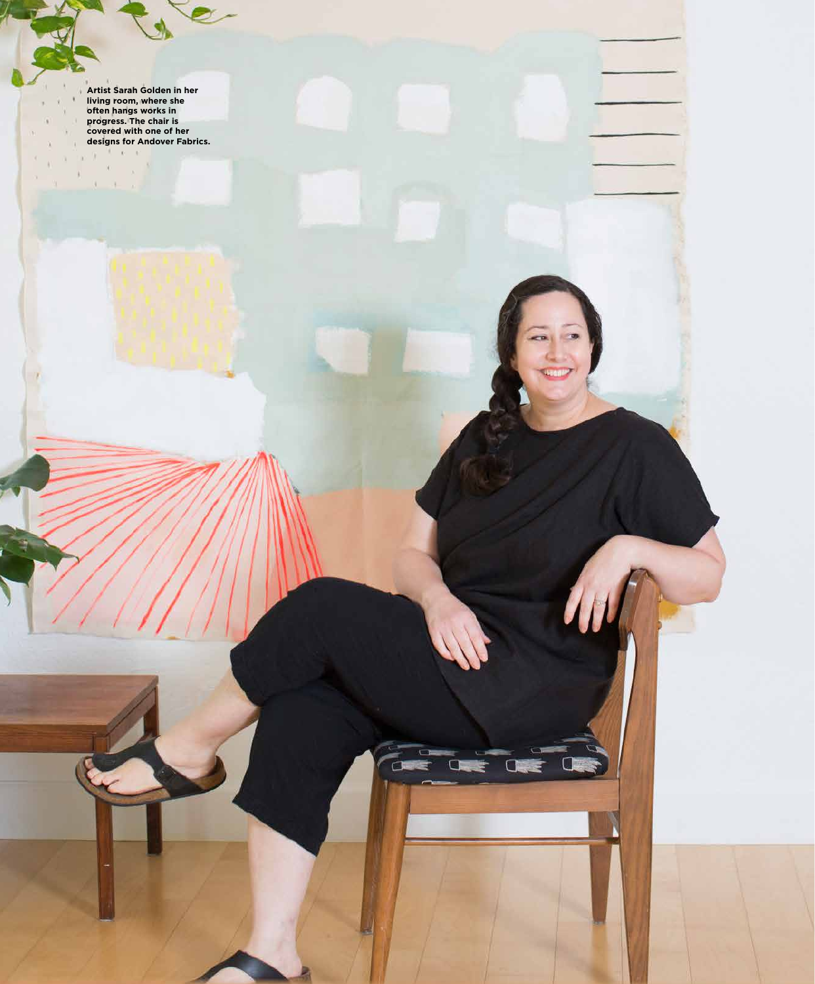**Artist Sarah Golden in her living room, where she often hangs works in progress. The chair is covered with one of her designs for Andover Fabrics.**

 $\frac{1}{2}$  ,  $\frac{1}{2}$ 

 $\bar{1}$ 

W  $\mathbf{r}^{\prime}$ W. × ×  $\bar{t}$ u.

*Winter 2018* **Sacramento Home 45** 

 $\bigcap_{i=1}^n$ 

Œ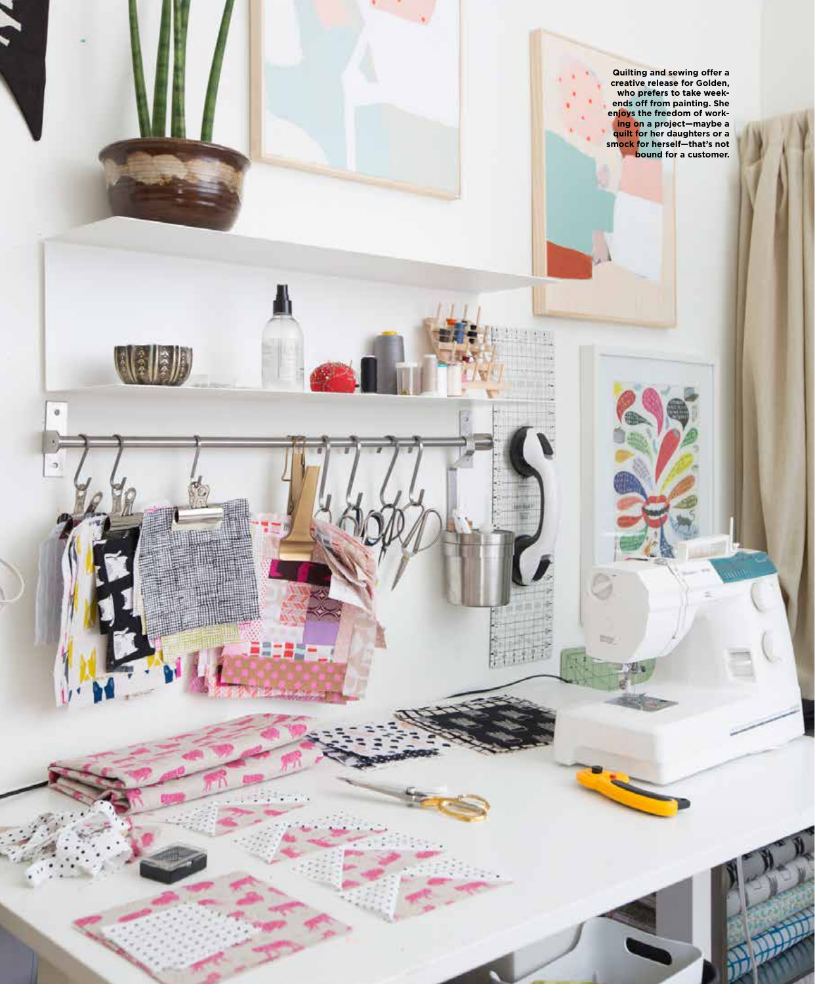**Quilting and sewing offer a creative release for Golden, who prefers to take weekends off from painting. She enjoys the freedom of working on a project—maybe a quilt for her daughters or a smock for herself—that's not bound for a customer.**

**Its** 

诗式

**46 Sacramento Home** *Winter 2018*

**ARTICO** 

 $\alpha$ 

5

 $\blacktriangle$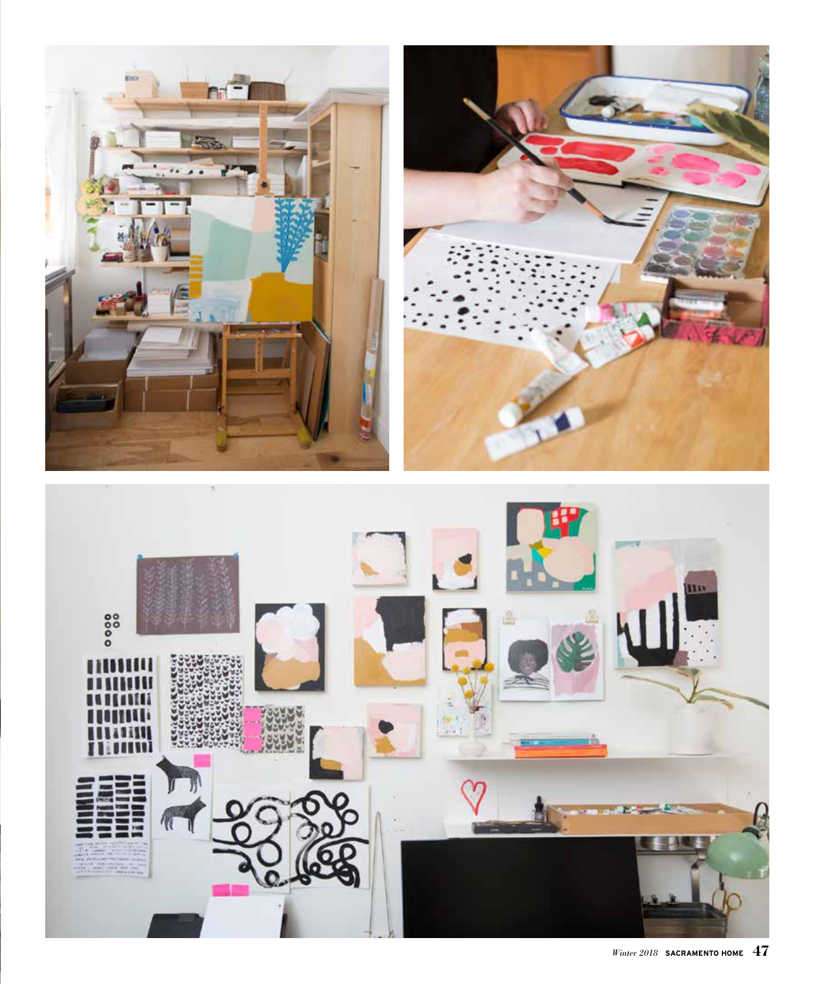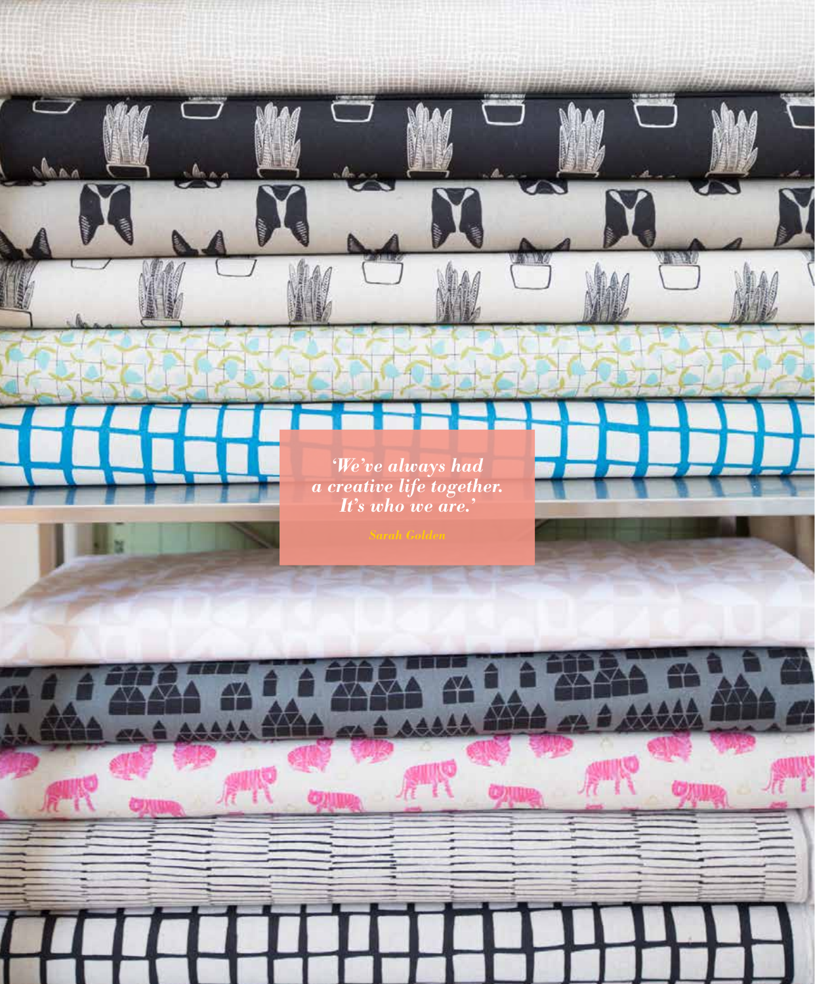